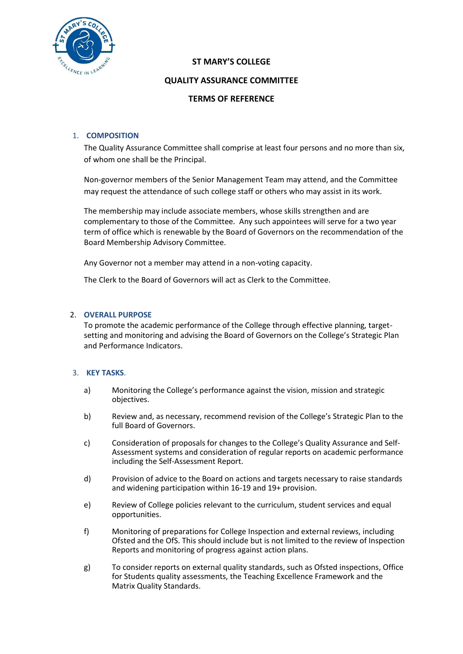

# **ST MARY'S COLLEGE**

# **QUALITY ASSURANCE COMMITTEE**

# **TERMS OF REFERENCE**

# 1. **COMPOSITION**

The Quality Assurance Committee shall comprise at least four persons and no more than six, of whom one shall be the Principal.

Non-governor members of the Senior Management Team may attend, and the Committee may request the attendance of such college staff or others who may assist in its work.

The membership may include associate members, whose skills strengthen and are complementary to those of the Committee. Any such appointees will serve for a two year term of office which is renewable by the Board of Governors on the recommendation of the Board Membership Advisory Committee.

Any Governor not a member may attend in a non-voting capacity.

The Clerk to the Board of Governors will act as Clerk to the Committee.

# 2. **OVERALL PURPOSE**

To promote the academic performance of the College through effective planning, targetsetting and monitoring and advising the Board of Governors on the College's Strategic Plan and Performance Indicators.

# 3. **KEY TASKS**.

- a) Monitoring the College's performance against the vision, mission and strategic objectives.
- b) Review and, as necessary, recommend revision of the College's Strategic Plan to the full Board of Governors.
- c) Consideration of proposals for changes to the College's Quality Assurance and Self-Assessment systems and consideration of regular reports on academic performance including the Self-Assessment Report.
- d) Provision of advice to the Board on actions and targets necessary to raise standards and widening participation within 16-19 and 19+ provision.
- e) Review of College policies relevant to the curriculum, student services and equal opportunities.
- f) Monitoring of preparations for College Inspection and external reviews, including Ofsted and the OfS. This should include but is not limited to the review of Inspection Reports and monitoring of progress against action plans.
- g) To consider reports on external quality standards, such as Ofsted inspections, Office for Students quality assessments, the Teaching Excellence Framework and the Matrix Quality Standards.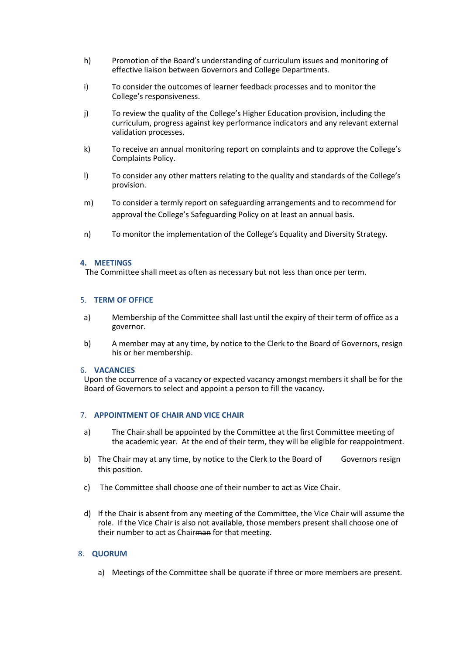- h) Promotion of the Board's understanding of curriculum issues and monitoring of effective liaison between Governors and College Departments.
- i) To consider the outcomes of learner feedback processes and to monitor the College's responsiveness.
- j) To review the quality of the College's Higher Education provision, including the curriculum, progress against key performance indicators and any relevant external validation processes.
- k) To receive an annual monitoring report on complaints and to approve the College's Complaints Policy.
- l) To consider any other matters relating to the quality and standards of the College's provision.
- m) To consider a termly report on safeguarding arrangements and to recommend for approval the College's Safeguarding Policy on at least an annual basis.
- n) To monitor the implementation of the College's Equality and Diversity Strategy.

#### **4. MEETINGS**

The Committee shall meet as often as necessary but not less than once per term.

#### 5. **TERM OF OFFICE**

- a) Membership of the Committee shall last until the expiry of their term of office as a governor.
- b) A member may at any time, by notice to the Clerk to the Board of Governors, resign his or her membership.

#### 6. **VACANCIES**

 Upon the occurrence of a vacancy or expected vacancy amongst members it shall be for the Board of Governors to select and appoint a person to fill the vacancy.

# 7. **APPOINTMENT OF CHAIR AND VICE CHAIR**

- a) The Chair shall be appointed by the Committee at the first Committee meeting of the academic year. At the end of their term, they will be eligible for reappointment.
- b) The Chair may at any time, by notice to the Clerk to the Board of Governors resign this position.
- c) The Committee shall choose one of their number to act as Vice Chair.
- d) If the Chair is absent from any meeting of the Committee, the Vice Chair will assume the role. If the Vice Chair is also not available, those members present shall choose one of their number to act as Chairman for that meeting.

# 8. **QUORUM**

a) Meetings of the Committee shall be quorate if three or more members are present.